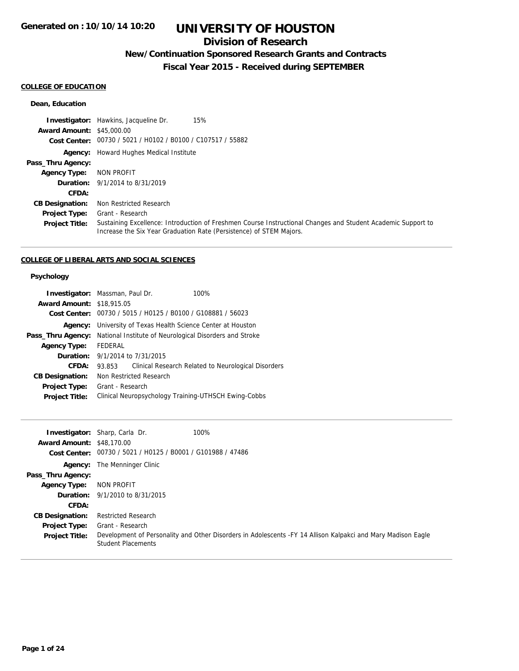## **Division of Research**

## **New/Continuation Sponsored Research Grants and Contracts**

**Fiscal Year 2015 - Received during SEPTEMBER**

## **COLLEGE OF EDUCATION**

#### **Dean, Education**

|                                  | 15%<br><b>Investigator:</b> Hawkins, Jacqueline Dr.                                                                                                                                 |
|----------------------------------|-------------------------------------------------------------------------------------------------------------------------------------------------------------------------------------|
| <b>Award Amount: \$45,000.00</b> |                                                                                                                                                                                     |
|                                  | Cost Center: 00730 / 5021 / H0102 / B0100 / C107517 / 55882                                                                                                                         |
|                                  | <b>Agency:</b> Howard Hughes Medical Institute                                                                                                                                      |
| Pass_Thru Agency:                |                                                                                                                                                                                     |
| <b>Agency Type:</b>              | NON PROFIT                                                                                                                                                                          |
|                                  | <b>Duration:</b> 9/1/2014 to 8/31/2019                                                                                                                                              |
| <b>CFDA:</b>                     |                                                                                                                                                                                     |
| <b>CB Designation:</b>           | Non Restricted Research                                                                                                                                                             |
| <b>Project Type:</b>             | Grant - Research                                                                                                                                                                    |
| <b>Project Title:</b>            | Sustaining Excellence: Introduction of Freshmen Course Instructional Changes and Student Academic Support to<br>Increase the Six Year Graduation Rate (Persistence) of STEM Majors. |

### **COLLEGE OF LIBERAL ARTS AND SOCIAL SCIENCES**

## **Psychology**

| <b>Investigator:</b> Massman, Paul Dr. |                  |                         | 100%                                                        |  |
|----------------------------------------|------------------|-------------------------|-------------------------------------------------------------|--|
| <b>Award Amount: \$18,915.05</b>       |                  |                         |                                                             |  |
|                                        |                  |                         | Cost Center: 00730 / 5015 / H0125 / B0100 / G108881 / 56023 |  |
| Agency:                                |                  |                         | University of Texas Health Science Center at Houston        |  |
| Pass_Thru Agency:                      |                  |                         | National Institute of Neurological Disorders and Stroke     |  |
| <b>Agency Type:</b>                    | FEDERAL          |                         |                                                             |  |
| Duration:                              |                  | 9/1/2014 to 7/31/2015   |                                                             |  |
| CFDA:                                  | 93.853           |                         | Clinical Research Related to Neurological Disorders         |  |
| <b>CB Designation:</b>                 |                  | Non Restricted Research |                                                             |  |
| Project Type:                          | Grant - Research |                         |                                                             |  |
| <b>Project Title:</b>                  |                  |                         | Clinical Neuropsychology Training-UTHSCH Ewing-Cobbs        |  |

| <b>Award Amount: \$48,170.00</b><br>Cost Center: | <b>Investigator:</b> Sharp, Carla Dr.<br>00730 / 5021 / H0125 / B0001 / G101988 / 47486 | 100%                                                                                                         |
|--------------------------------------------------|-----------------------------------------------------------------------------------------|--------------------------------------------------------------------------------------------------------------|
|                                                  | <b>Agency:</b> The Menninger Clinic                                                     |                                                                                                              |
| Pass_Thru Agency:                                |                                                                                         |                                                                                                              |
| <b>Agency Type:</b>                              | NON PROFIT                                                                              |                                                                                                              |
|                                                  | <b>Duration:</b> 9/1/2010 to 8/31/2015                                                  |                                                                                                              |
| CFDA:                                            |                                                                                         |                                                                                                              |
| <b>CB Designation:</b>                           | <b>Restricted Research</b>                                                              |                                                                                                              |
| <b>Project Type:</b>                             | Grant - Research                                                                        |                                                                                                              |
| <b>Project Title:</b>                            | <b>Student Placements</b>                                                               | Development of Personality and Other Disorders in Adolescents -FY 14 Allison Kalpakci and Mary Madison Eagle |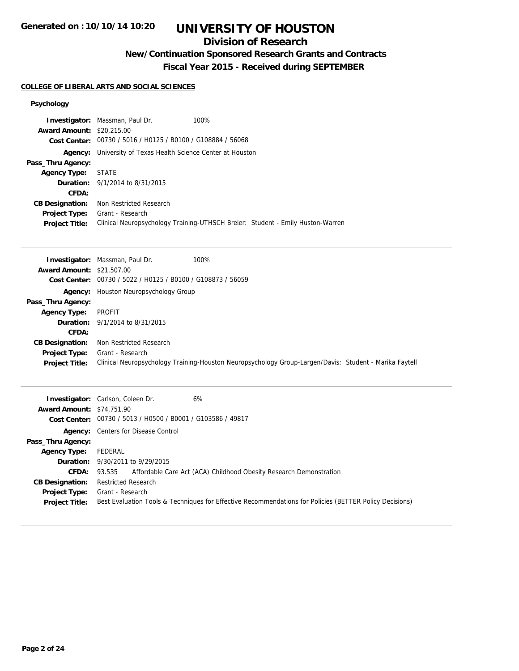## **Division of Research**

## **New/Continuation Sponsored Research Grants and Contracts**

**Fiscal Year 2015 - Received during SEPTEMBER**

### **COLLEGE OF LIBERAL ARTS AND SOCIAL SCIENCES**

## **Psychology**

|                                  | 100%<br><b>Investigator:</b> Massman, Paul Dr.                                 |
|----------------------------------|--------------------------------------------------------------------------------|
| <b>Award Amount: \$20,215,00</b> |                                                                                |
|                                  | Cost Center: 00730 / 5016 / H0125 / B0100 / G108884 / 56068                    |
| Agency:                          | University of Texas Health Science Center at Houston                           |
| Pass_Thru Agency:                |                                                                                |
| <b>Agency Type:</b>              | <b>STATE</b>                                                                   |
|                                  | <b>Duration:</b> 9/1/2014 to 8/31/2015                                         |
| CFDA:                            |                                                                                |
| <b>CB Designation:</b>           | Non Restricted Research                                                        |
| <b>Project Type:</b>             | Grant - Research                                                               |
| <b>Project Title:</b>            | Clinical Neuropsychology Training-UTHSCH Breier: Student - Emily Huston-Warren |
|                                  |                                                                                |

|                                  | 100%<br><b>Investigator:</b> Massman, Paul Dr.                                                         |
|----------------------------------|--------------------------------------------------------------------------------------------------------|
| <b>Award Amount: \$21,507.00</b> |                                                                                                        |
|                                  | Cost Center: 00730 / 5022 / H0125 / B0100 / G108873 / 56059                                            |
|                                  | <b>Agency:</b> Houston Neuropsychology Group                                                           |
| Pass_Thru Agency:                |                                                                                                        |
| <b>Agency Type:</b>              | PROFIT                                                                                                 |
|                                  | <b>Duration:</b> 9/1/2014 to 8/31/2015                                                                 |
| CFDA:                            |                                                                                                        |
| <b>CB Designation:</b>           | Non Restricted Research                                                                                |
| <b>Project Type:</b>             | Grant - Research                                                                                       |
| <b>Project Title:</b>            | Clinical Neuropsychology Training-Houston Neuropsychology Group-Largen/Davis: Student - Marika Faytell |

|                                  | <b>Investigator:</b> Carlson, Coleen Dr.<br>6%                                                          |
|----------------------------------|---------------------------------------------------------------------------------------------------------|
| <b>Award Amount: \$74,751.90</b> |                                                                                                         |
|                                  | Cost Center: 00730 / 5013 / H0500 / B0001 / G103586 / 49817                                             |
|                                  | <b>Agency:</b> Centers for Disease Control                                                              |
| Pass_Thru Agency:                |                                                                                                         |
| <b>Agency Type:</b>              | FEDERAL                                                                                                 |
|                                  | <b>Duration:</b> 9/30/2011 to 9/29/2015                                                                 |
| <b>CFDA:</b>                     | Affordable Care Act (ACA) Childhood Obesity Research Demonstration<br>93.535                            |
| <b>CB Designation:</b>           | <b>Restricted Research</b>                                                                              |
| <b>Project Type:</b>             | Grant - Research                                                                                        |
| <b>Project Title:</b>            | Best Evaluation Tools & Techniques for Effective Recommendations for Policies (BETTER Policy Decisions) |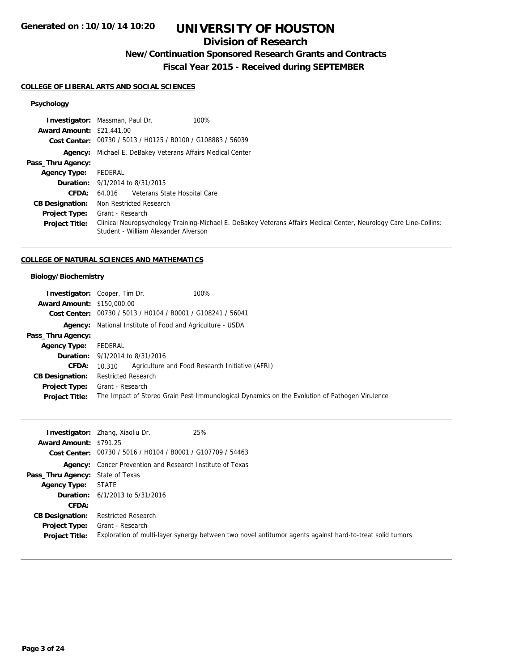## **Division of Research**

## **New/Continuation Sponsored Research Grants and Contracts**

## **Fiscal Year 2015 - Received during SEPTEMBER**

#### **COLLEGE OF LIBERAL ARTS AND SOCIAL SCIENCES**

## **Psychology**

|                                  | <b>Investigator:</b> Massman, Paul Dr.<br>100%                                                                                                             |
|----------------------------------|------------------------------------------------------------------------------------------------------------------------------------------------------------|
| <b>Award Amount: \$21,441.00</b> |                                                                                                                                                            |
|                                  | Cost Center: 00730 / 5013 / H0125 / B0100 / G108883 / 56039                                                                                                |
|                                  | Agency: Michael E. DeBakey Veterans Affairs Medical Center                                                                                                 |
| Pass_Thru Agency:                |                                                                                                                                                            |
| <b>Agency Type:</b>              | FEDERAL                                                                                                                                                    |
|                                  | <b>Duration:</b> 9/1/2014 to 8/31/2015                                                                                                                     |
| <b>CFDA:</b>                     | Veterans State Hospital Care<br>64.016                                                                                                                     |
| <b>CB Designation:</b>           | Non Restricted Research                                                                                                                                    |
| <b>Project Type:</b>             | Grant - Research                                                                                                                                           |
| <b>Project Title:</b>            | Clinical Neuropsychology Training-Michael E. DeBakey Veterans Affairs Medical Center, Neurology Care Line-Collins:<br>Student - William Alexander Alverson |

### **COLLEGE OF NATURAL SCIENCES AND MATHEMATICS**

### **Biology/Biochemistry**

|                                   | <b>Investigator:</b> Cooper, Tim Dr.<br>100%                                                  |
|-----------------------------------|-----------------------------------------------------------------------------------------------|
| <b>Award Amount: \$150,000.00</b> |                                                                                               |
|                                   | Cost Center: 00730 / 5013 / H0104 / B0001 / G108241 / 56041                                   |
|                                   | <b>Agency:</b> National Institute of Food and Agriculture - USDA                              |
| Pass_Thru Agency:                 |                                                                                               |
| <b>Agency Type:</b>               | FEDERAL                                                                                       |
|                                   | <b>Duration:</b> 9/1/2014 to 8/31/2016                                                        |
| <b>CFDA:</b>                      | Agriculture and Food Research Initiative (AFRI)<br>10.310                                     |
| <b>CB Designation:</b>            | <b>Restricted Research</b>                                                                    |
| <b>Project Type:</b>              | Grant - Research                                                                              |
| <b>Project Title:</b>             | The Impact of Stored Grain Pest Immunological Dynamics on the Evolution of Pathogen Virulence |

| <b>Award Amount: \$791.25</b>           | 25%<br><b>Investigator:</b> Zhang, Xiaoliu Dr.                                                           |
|-----------------------------------------|----------------------------------------------------------------------------------------------------------|
|                                         | Cost Center: 00730 / 5016 / H0104 / B0001 / G107709 / 54463                                              |
|                                         | <b>Agency:</b> Cancer Prevention and Research Institute of Texas                                         |
| <b>Pass_Thru Agency: State of Texas</b> |                                                                                                          |
| Agency Type:                            | STATE                                                                                                    |
|                                         | <b>Duration:</b> $6/1/2013$ to $5/31/2016$                                                               |
| CFDA:                                   |                                                                                                          |
| <b>CB Designation:</b>                  | <b>Restricted Research</b>                                                                               |
| <b>Project Type:</b>                    | Grant - Research                                                                                         |
| <b>Project Title:</b>                   | Exploration of multi-layer synergy between two novel antitumor agents against hard-to-treat solid tumors |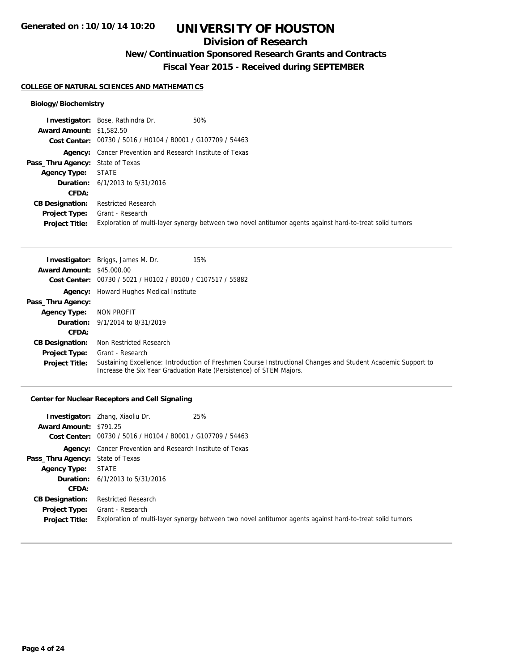## **Division of Research**

**New/Continuation Sponsored Research Grants and Contracts**

**Fiscal Year 2015 - Received during SEPTEMBER**

#### **COLLEGE OF NATURAL SCIENCES AND MATHEMATICS**

### **Biology/Biochemistry**

|                                  | <b>Investigator:</b> Bose, Rathindra Dr.<br>50%                                                          |
|----------------------------------|----------------------------------------------------------------------------------------------------------|
| <b>Award Amount: \$1,582.50</b>  |                                                                                                          |
|                                  | Cost Center: 00730 / 5016 / H0104 / B0001 / G107709 / 54463                                              |
|                                  | <b>Agency:</b> Cancer Prevention and Research Institute of Texas                                         |
| Pass_Thru Agency: State of Texas |                                                                                                          |
| <b>Agency Type: STATE</b>        |                                                                                                          |
|                                  | <b>Duration:</b> $6/1/2013$ to $5/31/2016$                                                               |
| CFDA:                            |                                                                                                          |
| <b>CB Designation:</b>           | <b>Restricted Research</b>                                                                               |
| <b>Project Type:</b>             | Grant - Research                                                                                         |
| <b>Project Title:</b>            | Exploration of multi-layer synergy between two novel antitumor agents against hard-to-treat solid tumors |

|                                  | 15%<br><b>Investigator:</b> Briggs, James M. Dr.                                                                                                                                    |
|----------------------------------|-------------------------------------------------------------------------------------------------------------------------------------------------------------------------------------|
| <b>Award Amount: \$45,000.00</b> |                                                                                                                                                                                     |
|                                  | Cost Center: 00730 / 5021 / H0102 / B0100 / C107517 / 55882                                                                                                                         |
|                                  | <b>Agency:</b> Howard Hughes Medical Institute                                                                                                                                      |
| Pass_Thru Agency:                |                                                                                                                                                                                     |
| <b>Agency Type:</b>              | NON PROFIT                                                                                                                                                                          |
|                                  | <b>Duration:</b> $9/1/2014$ to $8/31/2019$                                                                                                                                          |
| CFDA:                            |                                                                                                                                                                                     |
| <b>CB Designation:</b>           | Non Restricted Research                                                                                                                                                             |
| <b>Project Type:</b>             | Grant - Research                                                                                                                                                                    |
| <b>Project Title:</b>            | Sustaining Excellence: Introduction of Freshmen Course Instructional Changes and Student Academic Support to<br>Increase the Six Year Graduation Rate (Persistence) of STEM Majors. |

### **Center for Nuclear Receptors and Cell Signaling**

| Award Amount: \$791.25                        | 25%<br><b>Investigator:</b> Zhang, Xiaoliu Dr.<br>Cost Center: 00730 / 5016 / H0104 / B0001 / G107709 / 54463                |
|-----------------------------------------------|------------------------------------------------------------------------------------------------------------------------------|
|                                               | <b>Agency:</b> Cancer Prevention and Research Institute of Texas                                                             |
| <b>Pass_Thru Agency:</b> State of Texas       |                                                                                                                              |
| <b>Agency Type: STATE</b>                     |                                                                                                                              |
|                                               | <b>Duration:</b> $6/1/2013$ to $5/31/2016$                                                                                   |
| CFDA:                                         |                                                                                                                              |
| <b>CB Designation:</b>                        | <b>Restricted Research</b>                                                                                                   |
| <b>Project Type:</b><br><b>Project Title:</b> | Grant - Research<br>Exploration of multi-layer synergy between two novel antitumor agents against hard-to-treat solid tumors |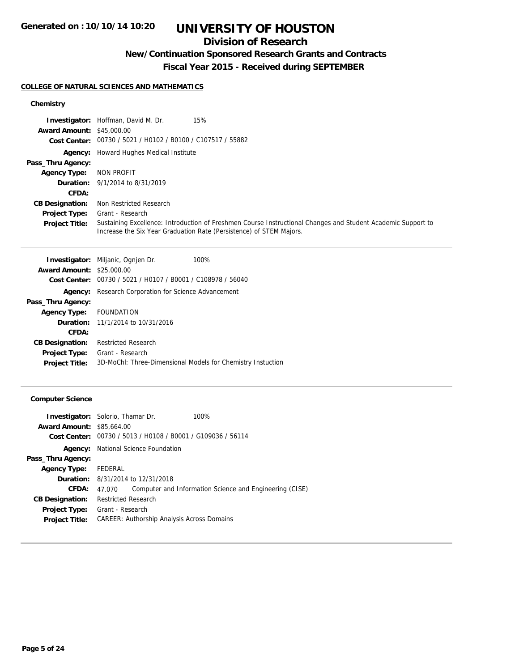## **Division of Research**

## **New/Continuation Sponsored Research Grants and Contracts**

**Fiscal Year 2015 - Received during SEPTEMBER**

## **COLLEGE OF NATURAL SCIENCES AND MATHEMATICS**

## **Chemistry**

|                                  | 15%<br><b>Investigator:</b> Hoffman, David M. Dr.                                                                                                                                   |
|----------------------------------|-------------------------------------------------------------------------------------------------------------------------------------------------------------------------------------|
| <b>Award Amount: \$45,000.00</b> |                                                                                                                                                                                     |
|                                  | Cost Center: 00730 / 5021 / H0102 / B0100 / C107517 / 55882                                                                                                                         |
|                                  | <b>Agency:</b> Howard Hughes Medical Institute                                                                                                                                      |
| Pass_Thru Agency:                |                                                                                                                                                                                     |
| <b>Agency Type:</b>              | NON PROFIT                                                                                                                                                                          |
|                                  | <b>Duration:</b> 9/1/2014 to 8/31/2019                                                                                                                                              |
| <b>CFDA:</b>                     |                                                                                                                                                                                     |
| <b>CB Designation:</b>           | Non Restricted Research                                                                                                                                                             |
| <b>Project Type:</b>             | Grant - Research                                                                                                                                                                    |
| <b>Project Title:</b>            | Sustaining Excellence: Introduction of Freshmen Course Instructional Changes and Student Academic Support to<br>Increase the Six Year Graduation Rate (Persistence) of STEM Majors. |

|                        | <b>Investigator:</b> Miljanic, Ognjen Dr.                   | 100% |
|------------------------|-------------------------------------------------------------|------|
| <b>Award Amount:</b>   | \$25,000.00                                                 |      |
| Cost Center:           | 00730 / 5021 / H0107 / B0001 / C108978 / 56040              |      |
| Agency:                | Research Corporation for Science Advancement                |      |
| Pass_Thru Agency:      |                                                             |      |
| <b>Agency Type:</b>    | FOUNDATION                                                  |      |
|                        | <b>Duration:</b> 11/1/2014 to 10/31/2016                    |      |
| CFDA:                  |                                                             |      |
| <b>CB Designation:</b> | <b>Restricted Research</b>                                  |      |
| <b>Project Type:</b>   | Grant - Research                                            |      |
| <b>Project Title:</b>  | 3D-MoChl: Three-Dimensional Models for Chemistry Instuction |      |
|                        |                                                             |      |

### **Computer Science**

| <b>Investigator:</b> Solorio, Thamar Dr.                       | 100%                                                    |
|----------------------------------------------------------------|---------------------------------------------------------|
| <b>Award Amount:</b><br>\$85,664.00                            |                                                         |
| 00730 / 5013 / H0108 / B0001 / G109036 / 56114<br>Cost Center: |                                                         |
| National Science Foundation<br>Agency:                         |                                                         |
|                                                                |                                                         |
| Agency Type: FEDERAL                                           |                                                         |
| <b>Duration:</b> 8/31/2014 to 12/31/2018                       |                                                         |
| 47.070                                                         | Computer and Information Science and Engineering (CISE) |
| <b>Restricted Research</b>                                     |                                                         |
| Grant - Research                                               |                                                         |
| CAREER: Authorship Analysis Across Domains                     |                                                         |
|                                                                |                                                         |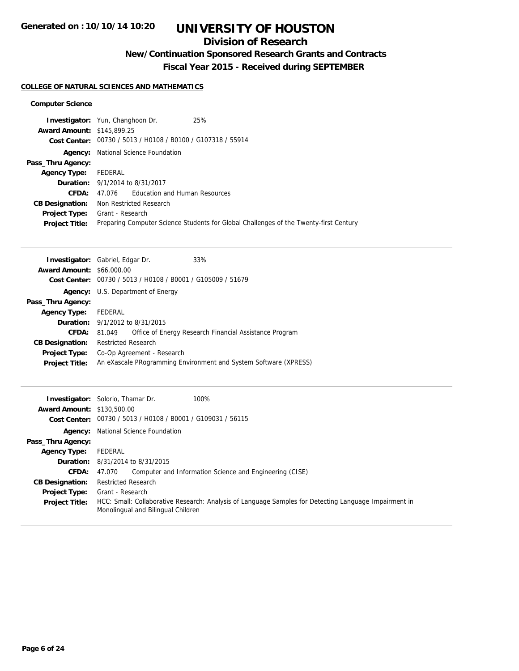## **Division of Research**

## **New/Continuation Sponsored Research Grants and Contracts**

**Fiscal Year 2015 - Received during SEPTEMBER**

## **COLLEGE OF NATURAL SCIENCES AND MATHEMATICS**

#### **Computer Science**

|                                   | 25%<br><b>Investigator:</b> Yun, Changhoon Dr.                                        |
|-----------------------------------|---------------------------------------------------------------------------------------|
| <b>Award Amount: \$145,899.25</b> |                                                                                       |
|                                   | Cost Center: 00730 / 5013 / H0108 / B0100 / G107318 / 55914                           |
| Agency:                           | National Science Foundation                                                           |
| Pass_Thru Agency:                 |                                                                                       |
| <b>Agency Type:</b>               | FEDERAL                                                                               |
|                                   | <b>Duration:</b> 9/1/2014 to 8/31/2017                                                |
| CFDA:                             | 47.076 Education and Human Resources                                                  |
| <b>CB Designation:</b>            | Non Restricted Research                                                               |
| <b>Project Type:</b>              | Grant - Research                                                                      |
| <b>Project Title:</b>             | Preparing Computer Science Students for Global Challenges of the Twenty-first Century |

|                                  | <b>Investigator:</b> Gabriel, Edgar Dr.                          |  | 33%                                                    |
|----------------------------------|------------------------------------------------------------------|--|--------------------------------------------------------|
| <b>Award Amount: \$66,000.00</b> |                                                                  |  |                                                        |
|                                  | Cost Center: 00730 / 5013 / H0108 / B0001 / G105009 / 51679      |  |                                                        |
| Agency:                          | U.S. Department of Energy                                        |  |                                                        |
| Pass_Thru Agency:                |                                                                  |  |                                                        |
| <b>Agency Type:</b>              | FEDERAL                                                          |  |                                                        |
|                                  | <b>Duration:</b> $9/1/2012$ to $8/31/2015$                       |  |                                                        |
| <b>CFDA:</b>                     | 81.049                                                           |  | Office of Energy Research Financial Assistance Program |
| <b>CB Designation:</b>           | <b>Restricted Research</b>                                       |  |                                                        |
| <b>Project Type:</b>             | Co-Op Agreement - Research                                       |  |                                                        |
| <b>Project Title:</b>            | An eXascale PRogramming Environment and System Software (XPRESS) |  |                                                        |

| <b>Award Amount: \$130,500.00</b> | <b>Investigator:</b> Solorio, Thamar Dr.<br>100%<br>Cost Center: 00730 / 5013 / H0108 / B0001 / G109031 / 56115                             |
|-----------------------------------|---------------------------------------------------------------------------------------------------------------------------------------------|
|                                   |                                                                                                                                             |
|                                   | <b>Agency:</b> National Science Foundation                                                                                                  |
| Pass_Thru Agency:                 |                                                                                                                                             |
| <b>Agency Type:</b>               | FEDERAL                                                                                                                                     |
|                                   | <b>Duration:</b> 8/31/2014 to 8/31/2015                                                                                                     |
| <b>CFDA:</b>                      | Computer and Information Science and Engineering (CISE)<br>47.070                                                                           |
| <b>CB Designation:</b>            | <b>Restricted Research</b>                                                                                                                  |
| <b>Project Type:</b>              | Grant - Research                                                                                                                            |
| <b>Project Title:</b>             | HCC: Small: Collaborative Research: Analysis of Language Samples for Detecting Language Impairment in<br>Monolingual and Bilingual Children |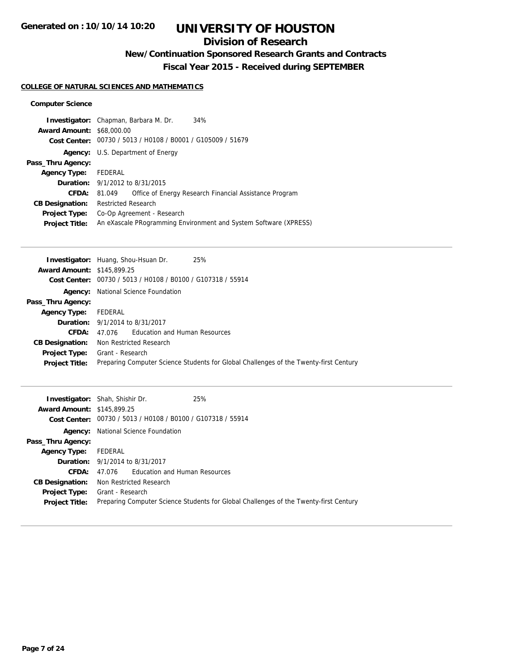## **Division of Research**

## **New/Continuation Sponsored Research Grants and Contracts**

**Fiscal Year 2015 - Received during SEPTEMBER**

## **COLLEGE OF NATURAL SCIENCES AND MATHEMATICS**

#### **Computer Science**

|                                  | <b>Investigator:</b> Chapman, Barbara M. Dr.                | 34%                                                              |
|----------------------------------|-------------------------------------------------------------|------------------------------------------------------------------|
| <b>Award Amount: \$68,000.00</b> |                                                             |                                                                  |
|                                  | Cost Center: 00730 / 5013 / H0108 / B0001 / G105009 / 51679 |                                                                  |
|                                  | <b>Agency:</b> U.S. Department of Energy                    |                                                                  |
| Pass_Thru Agency:                |                                                             |                                                                  |
| <b>Agency Type:</b>              | FEDERAL                                                     |                                                                  |
|                                  | <b>Duration:</b> 9/1/2012 to 8/31/2015                      |                                                                  |
| <b>CFDA:</b>                     | 81.049                                                      | Office of Energy Research Financial Assistance Program           |
| <b>CB Designation:</b>           | <b>Restricted Research</b>                                  |                                                                  |
| <b>Project Type:</b>             | Co-Op Agreement - Research                                  |                                                                  |
| <b>Project Title:</b>            |                                                             | An eXascale PRogramming Environment and System Software (XPRESS) |
|                                  |                                                             |                                                                  |

| <b>Award Amount: \$145,899.25</b><br>Cost Center: 00730 / 5013 / H0108 / B0100 / G107318 / 55914<br><b>Agency:</b> National Science Foundation<br>Pass_Thru Agency:<br>FEDERAL<br><b>Agency Type:</b><br><b>Duration:</b> 9/1/2014 to 8/31/2017<br>Education and Human Resources<br>CFDA:<br>47.076<br>Non Restricted Research<br><b>CB Designation:</b><br>Grant - Research<br><b>Project Type:</b><br>Preparing Computer Science Students for Global Challenges of the Twenty-first Century<br><b>Project Title:</b> | 25%<br><b>Investigator:</b> Huang, Shou-Hsuan Dr. |
|------------------------------------------------------------------------------------------------------------------------------------------------------------------------------------------------------------------------------------------------------------------------------------------------------------------------------------------------------------------------------------------------------------------------------------------------------------------------------------------------------------------------|---------------------------------------------------|
|                                                                                                                                                                                                                                                                                                                                                                                                                                                                                                                        |                                                   |
|                                                                                                                                                                                                                                                                                                                                                                                                                                                                                                                        |                                                   |
|                                                                                                                                                                                                                                                                                                                                                                                                                                                                                                                        |                                                   |
|                                                                                                                                                                                                                                                                                                                                                                                                                                                                                                                        |                                                   |
|                                                                                                                                                                                                                                                                                                                                                                                                                                                                                                                        |                                                   |
|                                                                                                                                                                                                                                                                                                                                                                                                                                                                                                                        |                                                   |
|                                                                                                                                                                                                                                                                                                                                                                                                                                                                                                                        |                                                   |
|                                                                                                                                                                                                                                                                                                                                                                                                                                                                                                                        |                                                   |
|                                                                                                                                                                                                                                                                                                                                                                                                                                                                                                                        |                                                   |
|                                                                                                                                                                                                                                                                                                                                                                                                                                                                                                                        |                                                   |

|                                   | 25%<br><b>Investigator:</b> Shah, Shishir Dr.                                         |
|-----------------------------------|---------------------------------------------------------------------------------------|
| <b>Award Amount: \$145,899.25</b> |                                                                                       |
|                                   | Cost Center: 00730 / 5013 / H0108 / B0100 / G107318 / 55914                           |
|                                   | <b>Agency:</b> National Science Foundation                                            |
| Pass_Thru Agency:                 |                                                                                       |
| <b>Agency Type:</b>               | FEDERAL                                                                               |
|                                   | <b>Duration:</b> 9/1/2014 to 8/31/2017                                                |
| CFDA:                             | 47.076 Education and Human Resources                                                  |
| <b>CB Designation:</b>            | Non Restricted Research                                                               |
| <b>Project Type:</b>              | Grant - Research                                                                      |
| <b>Project Title:</b>             | Preparing Computer Science Students for Global Challenges of the Twenty-first Century |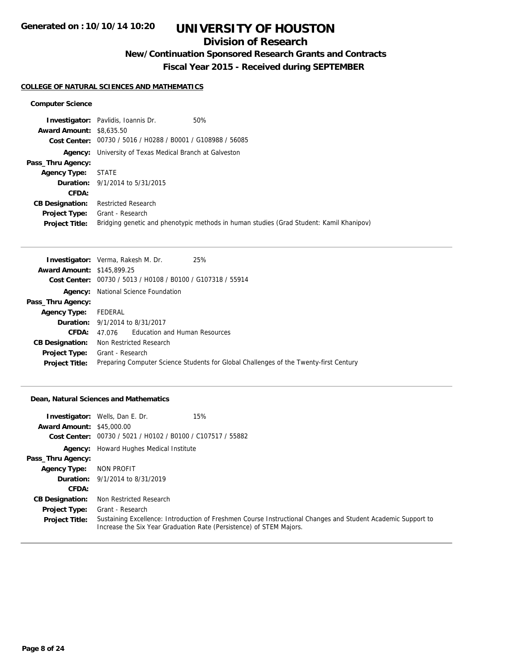## **Division of Research**

## **New/Continuation Sponsored Research Grants and Contracts**

**Fiscal Year 2015 - Received during SEPTEMBER**

#### **COLLEGE OF NATURAL SCIENCES AND MATHEMATICS**

#### **Computer Science**

|                                 | <b>Investigator:</b> Pavlidis, Ioannis Dr.                     | 50%                                                                                     |
|---------------------------------|----------------------------------------------------------------|-----------------------------------------------------------------------------------------|
| <b>Award Amount: \$8,635.50</b> |                                                                |                                                                                         |
|                                 | Cost Center: 00730 / 5016 / H0288 / B0001 / G108988 / 56085    |                                                                                         |
|                                 | <b>Agency:</b> University of Texas Medical Branch at Galveston |                                                                                         |
| Pass_Thru Agency:               |                                                                |                                                                                         |
| <b>Agency Type: STATE</b>       |                                                                |                                                                                         |
|                                 | <b>Duration:</b> 9/1/2014 to 5/31/2015                         |                                                                                         |
| CFDA:                           |                                                                |                                                                                         |
| <b>CB Designation:</b>          | <b>Restricted Research</b>                                     |                                                                                         |
| Project Type:                   | Grant - Research                                               |                                                                                         |
| <b>Project Title:</b>           |                                                                | Bridging genetic and phenotypic methods in human studies (Grad Student: Kamil Khanipov) |

|                                   | 25%<br><b>Investigator:</b> Verma, Rakesh M. Dr.                                      |
|-----------------------------------|---------------------------------------------------------------------------------------|
| <b>Award Amount: \$145,899.25</b> |                                                                                       |
|                                   | Cost Center: 00730 / 5013 / H0108 / B0100 / G107318 / 55914                           |
|                                   | <b>Agency:</b> National Science Foundation                                            |
| Pass_Thru Agency:                 |                                                                                       |
| <b>Agency Type:</b>               | FEDERAL                                                                               |
|                                   | <b>Duration:</b> 9/1/2014 to 8/31/2017                                                |
| CFDA:                             | 47.076 Education and Human Resources                                                  |
| <b>CB Designation:</b>            | Non Restricted Research                                                               |
|                                   | <b>Project Type:</b> Grant - Research                                                 |
| <b>Project Title:</b>             | Preparing Computer Science Students for Global Challenges of the Twenty-first Century |

#### **Dean, Natural Sciences and Mathematics**

|                                  | <b>Investigator:</b> Wells, Dan E. Dr.                      | 15%                                                                                                                                                                                 |
|----------------------------------|-------------------------------------------------------------|-------------------------------------------------------------------------------------------------------------------------------------------------------------------------------------|
| <b>Award Amount: \$45,000.00</b> |                                                             |                                                                                                                                                                                     |
|                                  | Cost Center: 00730 / 5021 / H0102 / B0100 / C107517 / 55882 |                                                                                                                                                                                     |
|                                  | <b>Agency:</b> Howard Hughes Medical Institute              |                                                                                                                                                                                     |
| Pass_Thru Agency:                |                                                             |                                                                                                                                                                                     |
| <b>Agency Type:</b>              | NON PROFIT                                                  |                                                                                                                                                                                     |
|                                  | <b>Duration:</b> 9/1/2014 to 8/31/2019                      |                                                                                                                                                                                     |
| CFDA:                            |                                                             |                                                                                                                                                                                     |
| <b>CB Designation:</b>           | Non Restricted Research                                     |                                                                                                                                                                                     |
| <b>Project Type:</b>             | Grant - Research                                            |                                                                                                                                                                                     |
| <b>Project Title:</b>            |                                                             | Sustaining Excellence: Introduction of Freshmen Course Instructional Changes and Student Academic Support to<br>Increase the Six Year Graduation Rate (Persistence) of STEM Majors. |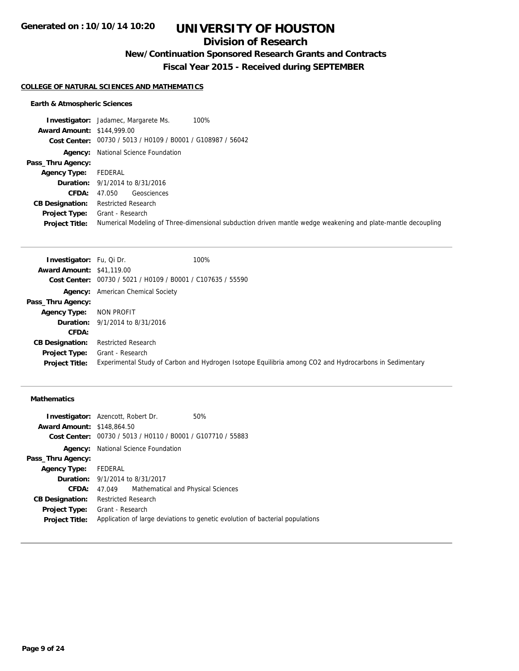## **Division of Research**

## **New/Continuation Sponsored Research Grants and Contracts**

**Fiscal Year 2015 - Received during SEPTEMBER**

#### **COLLEGE OF NATURAL SCIENCES AND MATHEMATICS**

### **Earth & Atmospheric Sciences**

| 100%<br><b>Investigator:</b> Jadamec, Margarete Ms.                                                          |
|--------------------------------------------------------------------------------------------------------------|
| <b>Award Amount: \$144,999.00</b>                                                                            |
| Cost Center: 00730 / 5013 / H0109 / B0001 / G108987 / 56042                                                  |
| <b>Agency:</b> National Science Foundation                                                                   |
|                                                                                                              |
| FEDERAL                                                                                                      |
| <b>Duration:</b> $9/1/2014$ to $8/31/2016$                                                                   |
| Geosciences<br>47.050                                                                                        |
| <b>Restricted Research</b>                                                                                   |
| Grant - Research                                                                                             |
| Numerical Modeling of Three-dimensional subduction driven mantle wedge weakening and plate-mantle decoupling |
|                                                                                                              |

| <b>Investigator:</b> Fu, Qi Dr.  |                                                             | 100%                                                                                                   |
|----------------------------------|-------------------------------------------------------------|--------------------------------------------------------------------------------------------------------|
| <b>Award Amount: \$41,119.00</b> |                                                             |                                                                                                        |
|                                  | Cost Center: 00730 / 5021 / H0109 / B0001 / C107635 / 55590 |                                                                                                        |
|                                  | <b>Agency:</b> American Chemical Society                    |                                                                                                        |
| Pass_Thru Agency:                |                                                             |                                                                                                        |
| <b>Agency Type:</b>              | NON PROFIT                                                  |                                                                                                        |
|                                  | <b>Duration:</b> 9/1/2014 to 8/31/2016                      |                                                                                                        |
| <b>CFDA:</b>                     |                                                             |                                                                                                        |
| <b>CB Designation:</b>           | <b>Restricted Research</b>                                  |                                                                                                        |
| <b>Project Type:</b>             | Grant - Research                                            |                                                                                                        |
| <b>Project Title:</b>            |                                                             | Experimental Study of Carbon and Hydrogen Isotope Equilibria among CO2 and Hydrocarbons in Sedimentary |

## **Mathematics**

|                                   | <b>Investigator:</b> Azencott, Robert Dr. | 50%                                                                           |
|-----------------------------------|-------------------------------------------|-------------------------------------------------------------------------------|
| <b>Award Amount: \$148,864.50</b> |                                           |                                                                               |
|                                   |                                           | Cost Center: 00730 / 5013 / H0110 / B0001 / G107710 / 55883                   |
| Agency:                           | National Science Foundation               |                                                                               |
| Pass_Thru Agency:                 |                                           |                                                                               |
| Agency Type: FEDERAL              |                                           |                                                                               |
|                                   | <b>Duration:</b> 9/1/2014 to 8/31/2017    |                                                                               |
| CFDA:                             | 47.049                                    | Mathematical and Physical Sciences                                            |
| <b>CB Designation:</b>            | <b>Restricted Research</b>                |                                                                               |
| Project Type:                     | Grant - Research                          |                                                                               |
| <b>Project Title:</b>             |                                           | Application of large deviations to genetic evolution of bacterial populations |
|                                   |                                           |                                                                               |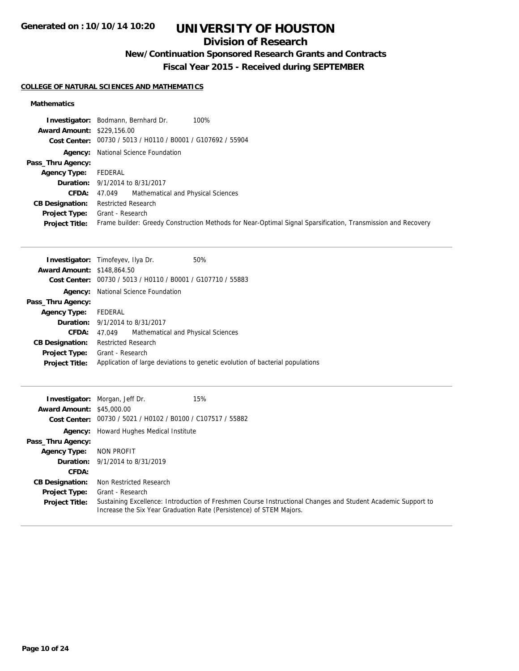## **Division of Research**

## **New/Continuation Sponsored Research Grants and Contracts**

**Fiscal Year 2015 - Received during SEPTEMBER**

## **COLLEGE OF NATURAL SCIENCES AND MATHEMATICS**

## **Mathematics**

|                                   | 100%<br><b>Investigator:</b> Bodmann, Bernhard Dr.                                                           |
|-----------------------------------|--------------------------------------------------------------------------------------------------------------|
| <b>Award Amount: \$229,156.00</b> |                                                                                                              |
|                                   | Cost Center: 00730 / 5013 / H0110 / B0001 / G107692 / 55904                                                  |
|                                   | <b>Agency:</b> National Science Foundation                                                                   |
| Pass_Thru Agency:                 |                                                                                                              |
| <b>Agency Type:</b>               | FEDERAL                                                                                                      |
|                                   | <b>Duration:</b> 9/1/2014 to 8/31/2017                                                                       |
| CFDA:                             | 47.049 Mathematical and Physical Sciences                                                                    |
| <b>CB Designation:</b>            | <b>Restricted Research</b>                                                                                   |
| <b>Project Type:</b>              | Grant - Research                                                                                             |
| <b>Project Title:</b>             | Frame builder: Greedy Construction Methods for Near-Optimal Signal Sparsification, Transmission and Recovery |

| <b>Investigator:</b> Timofeyev, Ilya Dr. |                            |                                                             | 50%                                                                           |
|------------------------------------------|----------------------------|-------------------------------------------------------------|-------------------------------------------------------------------------------|
| <b>Award Amount: \$148,864.50</b>        |                            |                                                             |                                                                               |
|                                          |                            | Cost Center: 00730 / 5013 / H0110 / B0001 / G107710 / 55883 |                                                                               |
| Agency:                                  |                            | National Science Foundation                                 |                                                                               |
| Pass_Thru Agency:                        |                            |                                                             |                                                                               |
| <b>Agency Type:</b>                      | FEDERAL                    |                                                             |                                                                               |
|                                          |                            | <b>Duration:</b> 9/1/2014 to 8/31/2017                      |                                                                               |
| CFDA:                                    | 47.049                     | Mathematical and Physical Sciences                          |                                                                               |
| <b>CB Designation:</b>                   | <b>Restricted Research</b> |                                                             |                                                                               |
| <b>Project Type:</b>                     | Grant - Research           |                                                             |                                                                               |
| <b>Project Title:</b>                    |                            |                                                             | Application of large deviations to genetic evolution of bacterial populations |
|                                          |                            |                                                             |                                                                               |

| <b>Award Amount: \$45,000.00</b> | 15%<br><b>Investigator:</b> Morgan, Jeff Dr.                                                                                                                                        |
|----------------------------------|-------------------------------------------------------------------------------------------------------------------------------------------------------------------------------------|
| Cost Center:                     | 00730 / 5021 / H0102 / B0100 / C107517 / 55882                                                                                                                                      |
|                                  | <b>Agency:</b> Howard Hughes Medical Institute                                                                                                                                      |
| Pass_Thru Agency:                |                                                                                                                                                                                     |
| <b>Agency Type:</b>              | NON PROFIT                                                                                                                                                                          |
|                                  | <b>Duration:</b> 9/1/2014 to 8/31/2019                                                                                                                                              |
| CFDA:                            |                                                                                                                                                                                     |
| <b>CB Designation:</b>           | Non Restricted Research                                                                                                                                                             |
| <b>Project Type:</b>             | Grant - Research                                                                                                                                                                    |
| <b>Project Title:</b>            | Sustaining Excellence: Introduction of Freshmen Course Instructional Changes and Student Academic Support to<br>Increase the Six Year Graduation Rate (Persistence) of STEM Majors. |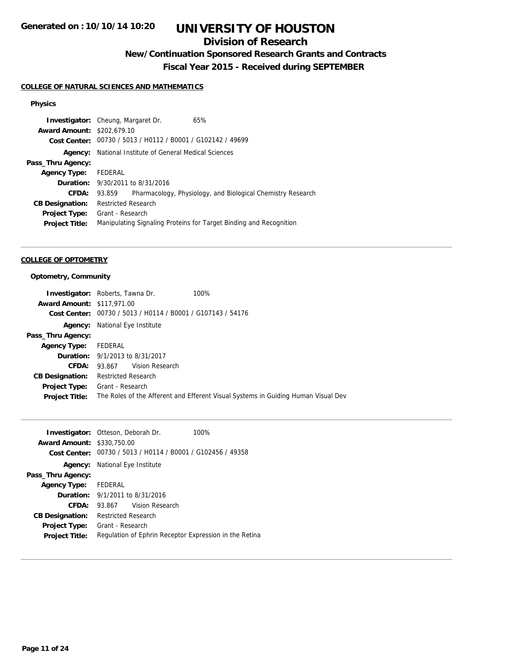## **Division of Research**

**New/Continuation Sponsored Research Grants and Contracts**

**Fiscal Year 2015 - Received during SEPTEMBER**

## **COLLEGE OF NATURAL SCIENCES AND MATHEMATICS**

#### **Physics**

| <b>Investigator:</b> Cheung, Margaret Dr. |                            |                                                             | 65%                                                                |
|-------------------------------------------|----------------------------|-------------------------------------------------------------|--------------------------------------------------------------------|
| <b>Award Amount: \$202,679.10</b>         |                            |                                                             |                                                                    |
|                                           |                            | Cost Center: 00730 / 5013 / H0112 / B0001 / G102142 / 49699 |                                                                    |
| Agency:                                   |                            | National Institute of General Medical Sciences              |                                                                    |
| Pass_Thru Agency:                         |                            |                                                             |                                                                    |
| <b>Agency Type:</b>                       | FEDERAL                    |                                                             |                                                                    |
|                                           |                            | <b>Duration:</b> 9/30/2011 to 8/31/2016                     |                                                                    |
| CFDA:                                     | 93.859                     |                                                             | Pharmacology, Physiology, and Biological Chemistry Research        |
| <b>CB Designation:</b>                    | <b>Restricted Research</b> |                                                             |                                                                    |
| <b>Project Type:</b>                      | Grant - Research           |                                                             |                                                                    |
| <b>Project Title:</b>                     |                            |                                                             | Manipulating Signaling Proteins for Target Binding and Recognition |
|                                           |                            |                                                             |                                                                    |

#### **COLLEGE OF OPTOMETRY**

### **Optometry, Community**

|                                   | <b>Investigator:</b> Roberts, Tawna Dr.        | 100%                                                                              |
|-----------------------------------|------------------------------------------------|-----------------------------------------------------------------------------------|
| <b>Award Amount: \$117,971.00</b> |                                                |                                                                                   |
| Cost Center:                      | 00730 / 5013 / H0114 / B0001 / G107143 / 54176 |                                                                                   |
| Agency:                           | National Eye Institute                         |                                                                                   |
| Pass_Thru Agency:                 |                                                |                                                                                   |
| <b>Agency Type:</b>               | FEDERAL                                        |                                                                                   |
|                                   | <b>Duration:</b> 9/1/2013 to 8/31/2017         |                                                                                   |
| CFDA:                             | 93.867 Vision Research                         |                                                                                   |
| <b>CB Designation:</b>            | Restricted Research                            |                                                                                   |
| <b>Project Type:</b>              | Grant - Research                               |                                                                                   |
| <b>Project Title:</b>             |                                                | The Roles of the Afferent and Efferent Visual Systems in Guiding Human Visual Dev |
|                                   |                                                |                                                                                   |

|                        | <b>Investigator:</b> Otteson, Deborah Dr.<br>100%      |
|------------------------|--------------------------------------------------------|
| <b>Award Amount:</b>   | \$330,750.00                                           |
| Cost Center:           | 00730 / 5013 / H0114 / B0001 / G102456 / 49358         |
| Agency:                | National Eye Institute                                 |
| Pass_Thru Agency:      |                                                        |
| Agency Type: FEDERAL   |                                                        |
|                        | <b>Duration:</b> 9/1/2011 to 8/31/2016                 |
| <b>CFDA:</b>           | Vision Research<br>93.867                              |
| <b>CB Designation:</b> | <b>Restricted Research</b>                             |
| Project Type:          | Grant - Research                                       |
| <b>Project Title:</b>  | Regulation of Ephrin Receptor Expression in the Retina |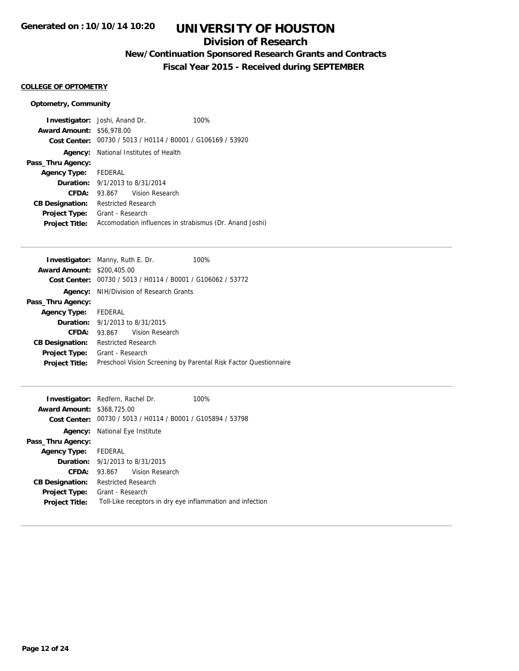## **Division of Research**

## **New/Continuation Sponsored Research Grants and Contracts**

**Fiscal Year 2015 - Received during SEPTEMBER**

### **COLLEGE OF OPTOMETRY**

### **Optometry, Community**

|                                  | <b>Investigator:</b> Joshi, Anand Dr.        | 100%                                                        |
|----------------------------------|----------------------------------------------|-------------------------------------------------------------|
| <b>Award Amount: \$56,978.00</b> |                                              |                                                             |
|                                  |                                              | Cost Center: 00730 / 5013 / H0114 / B0001 / G106169 / 53920 |
|                                  | <b>Agency:</b> National Institutes of Health |                                                             |
| Pass_Thru Agency:                |                                              |                                                             |
| Agency Type: FEDERAL             |                                              |                                                             |
|                                  | <b>Duration:</b> $9/1/2013$ to $8/31/2014$   |                                                             |
| CFDA:                            | 93.867 Vision Research                       |                                                             |
| <b>CB Designation:</b>           | <b>Restricted Research</b>                   |                                                             |
| <b>Project Type:</b>             | Grant - Research                             |                                                             |
| <b>Project Title:</b>            |                                              | Accomodation influences in strabismus (Dr. Anand Joshi)     |

|                                   | <b>Investigator:</b> Manny, Ruth E. Dr.                     | 100%                                                             |
|-----------------------------------|-------------------------------------------------------------|------------------------------------------------------------------|
| <b>Award Amount: \$200,405.00</b> |                                                             |                                                                  |
|                                   | Cost Center: 00730 / 5013 / H0114 / B0001 / G106062 / 53772 |                                                                  |
|                                   | <b>Agency:</b> NIH/Division of Research Grants              |                                                                  |
| Pass_Thru Agency:                 |                                                             |                                                                  |
| <b>Agency Type:</b>               | FEDERAL                                                     |                                                                  |
|                                   | <b>Duration:</b> 9/1/2013 to 8/31/2015                      |                                                                  |
| <b>CFDA:</b>                      | 93.867 Vision Research                                      |                                                                  |
| <b>CB Designation:</b>            | <b>Restricted Research</b>                                  |                                                                  |
| <b>Project Type:</b>              | Grant - Research                                            |                                                                  |
| <b>Project Title:</b>             |                                                             | Preschool Vision Screening by Parental Risk Factor Questionnaire |
|                                   |                                                             |                                                                  |

|                                   | <b>Investigator:</b> Redfern, Rachel Dr.                    | 100% |
|-----------------------------------|-------------------------------------------------------------|------|
| <b>Award Amount: \$368,725.00</b> |                                                             |      |
|                                   | Cost Center: 00730 / 5013 / H0114 / B0001 / G105894 / 53798 |      |
|                                   | <b>Agency:</b> National Eye Institute                       |      |
| Pass_Thru Agency:                 |                                                             |      |
| Agency Type: FEDERAL              |                                                             |      |
|                                   | <b>Duration:</b> 9/1/2013 to 8/31/2015                      |      |
| CFDA:                             | Vision Research<br>93.867                                   |      |
| <b>CB Designation:</b>            | <b>Restricted Research</b>                                  |      |
| <b>Project Type:</b>              | Grant - Research                                            |      |
| <b>Project Title:</b>             | Toll-Like receptors in dry eye inflammation and infection   |      |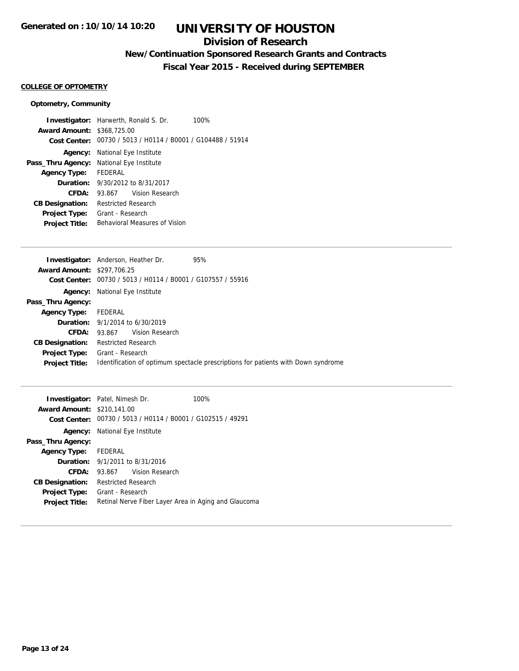## **Division of Research**

## **New/Continuation Sponsored Research Grants and Contracts**

**Fiscal Year 2015 - Received during SEPTEMBER**

## **COLLEGE OF OPTOMETRY**

### **Optometry, Community**

|                                   | <b>Investigator:</b> Harwerth, Ronald S. Dr.<br>100%        |  |  |
|-----------------------------------|-------------------------------------------------------------|--|--|
| <b>Award Amount: \$368,725.00</b> |                                                             |  |  |
|                                   | Cost Center: 00730 / 5013 / H0114 / B0001 / G104488 / 51914 |  |  |
| Agency:                           | National Eye Institute                                      |  |  |
| Pass_Thru Agency:                 | National Eye Institute                                      |  |  |
| <b>Agency Type:</b>               | FEDERAL                                                     |  |  |
|                                   | <b>Duration:</b> 9/30/2012 to 8/31/2017                     |  |  |
| CFDA:                             | Vision Research<br>93.867                                   |  |  |
| <b>CB Designation:</b>            | Restricted Research                                         |  |  |
| <b>Project Type:</b>              | Grant - Research                                            |  |  |
| <b>Project Title:</b>             | Behavioral Measures of Vision                               |  |  |
|                                   |                                                             |  |  |

|                                   | <b>Investigator:</b> Anderson, Heather Dr.     | 95%                                                                               |
|-----------------------------------|------------------------------------------------|-----------------------------------------------------------------------------------|
| <b>Award Amount: \$297,706.25</b> |                                                |                                                                                   |
| Cost Center:                      | 00730 / 5013 / H0114 / B0001 / G107557 / 55916 |                                                                                   |
| Agency:                           | National Eye Institute                         |                                                                                   |
| Pass_Thru Agency:                 |                                                |                                                                                   |
| <b>Agency Type:</b>               | FEDERAL                                        |                                                                                   |
|                                   | <b>Duration:</b> $9/1/2014$ to $6/30/2019$     |                                                                                   |
| CFDA:                             | 93.867 Vision Research                         |                                                                                   |
| <b>CB Designation:</b>            | <b>Restricted Research</b>                     |                                                                                   |
| <b>Project Type:</b>              | Grant - Research                               |                                                                                   |
| <b>Project Title:</b>             |                                                | Identification of optimum spectacle prescriptions for patients with Down syndrome |
|                                   |                                                |                                                                                   |

|                                   | <b>Investigator:</b> Patel, Nimesh Dr.                      | 100% |
|-----------------------------------|-------------------------------------------------------------|------|
| <b>Award Amount: \$210.141.00</b> |                                                             |      |
|                                   | Cost Center: 00730 / 5013 / H0114 / B0001 / G102515 / 49291 |      |
| Agency:                           | National Eye Institute                                      |      |
| Pass_Thru Agency:                 |                                                             |      |
| Agency Type: FEDERAL              |                                                             |      |
|                                   | <b>Duration:</b> 9/1/2011 to 8/31/2016                      |      |
| <b>CFDA:</b>                      | 93.867 Vision Research                                      |      |
| <b>CB Designation:</b>            | <b>Restricted Research</b>                                  |      |
| <b>Project Type:</b>              | Grant - Research                                            |      |
| <b>Project Title:</b>             | Retinal Nerve Fiber Layer Area in Aging and Glaucoma        |      |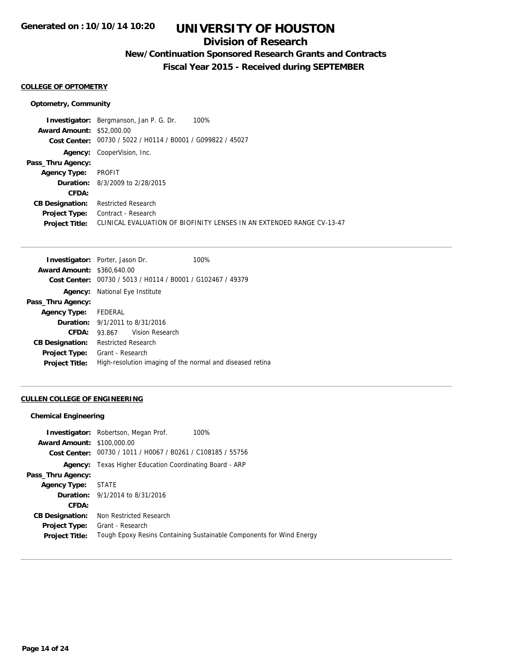## **Division of Research**

## **New/Continuation Sponsored Research Grants and Contracts**

**Fiscal Year 2015 - Received during SEPTEMBER**

#### **COLLEGE OF OPTOMETRY**

#### **Optometry, Community**

**Investigator:** Bergmanson, Jan P. G. Dr. 100% **Award Amount:** \$52,000.00 **Cost Center:** 00730 / 5022 / H0114 / B0001 / G099822 / 45027 **Agency:** CooperVision, Inc. **Pass\_Thru Agency: Agency Type:** PROFIT **Duration:** 8/3/2009 to 2/28/2015 **CFDA: CB Designation:** Restricted Research **Project Type:** Contract - Research **Project Title:** CLINICAL EVALUATION OF BIOFINITY LENSES IN AN EXTENDED RANGE CV-13-47

|                                   | <b>Investigator:</b> Porter, Jason Dr.         | 100%                                                      |
|-----------------------------------|------------------------------------------------|-----------------------------------------------------------|
| <b>Award Amount: \$360,640.00</b> |                                                |                                                           |
| Cost Center:                      | 00730 / 5013 / H0114 / B0001 / G102467 / 49379 |                                                           |
| Agency:                           | National Eye Institute                         |                                                           |
| Pass_Thru Agency:                 |                                                |                                                           |
| <b>Agency Type:</b>               | FEDERAL                                        |                                                           |
|                                   | <b>Duration:</b> 9/1/2011 to 8/31/2016         |                                                           |
| CFDA:                             | Vision Research<br>93.867                      |                                                           |
| <b>CB Designation:</b>            | <b>Restricted Research</b>                     |                                                           |
| <b>Project Type:</b>              | Grant - Research                               |                                                           |
| <b>Project Title:</b>             |                                                | High-resolution imaging of the normal and diseased retina |

#### **CULLEN COLLEGE OF ENGINEERING**

#### **Chemical Engineering**

|                                   | <b>Investigator:</b> Robertson, Megan Prof.<br>100%                  |  |
|-----------------------------------|----------------------------------------------------------------------|--|
| <b>Award Amount: \$100,000.00</b> |                                                                      |  |
|                                   | Cost Center: 00730 / 1011 / H0067 / B0261 / C108185 / 55756          |  |
|                                   | <b>Agency:</b> Texas Higher Education Coordinating Board - ARP       |  |
| Pass_Thru Agency:                 |                                                                      |  |
| <b>Agency Type:</b>               | <b>STATE</b>                                                         |  |
|                                   | <b>Duration:</b> 9/1/2014 to 8/31/2016                               |  |
| CFDA:                             |                                                                      |  |
| <b>CB Designation:</b>            | Non Restricted Research                                              |  |
| <b>Project Type:</b>              | Grant - Research                                                     |  |
| <b>Project Title:</b>             | Tough Epoxy Resins Containing Sustainable Components for Wind Energy |  |
|                                   |                                                                      |  |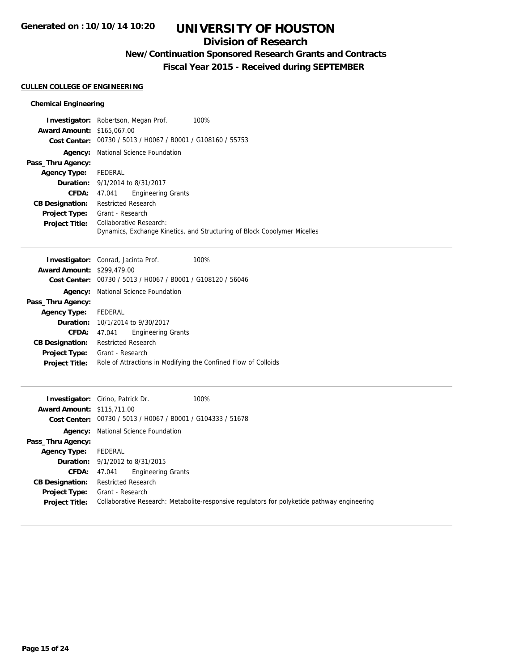## **Division of Research**

## **New/Continuation Sponsored Research Grants and Contracts**

**Fiscal Year 2015 - Received during SEPTEMBER**

### **CULLEN COLLEGE OF ENGINEERING**

### **Chemical Engineering**

|                                   | 100%<br><b>Investigator:</b> Robertson, Megan Prof.                      |  |
|-----------------------------------|--------------------------------------------------------------------------|--|
| <b>Award Amount: \$165,067.00</b> |                                                                          |  |
|                                   | Cost Center: 00730 / 5013 / H0067 / B0001 / G108160 / 55753              |  |
| Agency:                           | National Science Foundation                                              |  |
| Pass_Thru Agency:                 |                                                                          |  |
| Agency Type: FEDERAL              |                                                                          |  |
|                                   | <b>Duration:</b> 9/1/2014 to 8/31/2017                                   |  |
| CFDA:                             | <b>Engineering Grants</b><br>47.041                                      |  |
| <b>CB Designation:</b>            | <b>Restricted Research</b>                                               |  |
| <b>Project Type:</b>              | Grant - Research                                                         |  |
| <b>Project Title:</b>             | Collaborative Research:                                                  |  |
|                                   | Dynamics, Exchange Kinetics, and Structuring of Block Copolymer Micelles |  |

|                                   | <b>Investigator:</b> Conrad, Jacinta Prof.                     | 100% |
|-----------------------------------|----------------------------------------------------------------|------|
| <b>Award Amount: \$299,479.00</b> |                                                                |      |
|                                   | Cost Center: 00730 / 5013 / H0067 / B0001 / G108120 / 56046    |      |
|                                   | <b>Agency:</b> National Science Foundation                     |      |
| Pass_Thru Agency:                 |                                                                |      |
| Agency Type: FEDERAL              |                                                                |      |
|                                   | <b>Duration:</b> 10/1/2014 to 9/30/2017                        |      |
| <b>CFDA:</b>                      | <b>Engineering Grants</b><br>47.041                            |      |
| <b>CB Designation:</b>            | <b>Restricted Research</b>                                     |      |
| <b>Project Type:</b>              | Grant - Research                                               |      |
| <b>Project Title:</b>             | Role of Attractions in Modifying the Confined Flow of Colloids |      |

| <b>Award Amount: \$115,711.00</b>      | 100%<br><b>Investigator:</b> Cirino, Patrick Dr.<br>Cost Center: 00730 / 5013 / H0067 / B0001 / G104333 / 51678 |
|----------------------------------------|-----------------------------------------------------------------------------------------------------------------|
|                                        | <b>Agency:</b> National Science Foundation                                                                      |
| Pass_Thru Agency:                      |                                                                                                                 |
| Agency Type:                           | FEDERAL                                                                                                         |
|                                        | <b>Duration:</b> 9/1/2012 to 8/31/2015                                                                          |
| CFDA:                                  | <b>Engineering Grants</b><br>47.041                                                                             |
| <b>CB Designation:</b>                 | <b>Restricted Research</b>                                                                                      |
| Project Type:<br><b>Project Title:</b> | Grant - Research<br>Collaborative Research: Metabolite-responsive regulators for polyketide pathway engineering |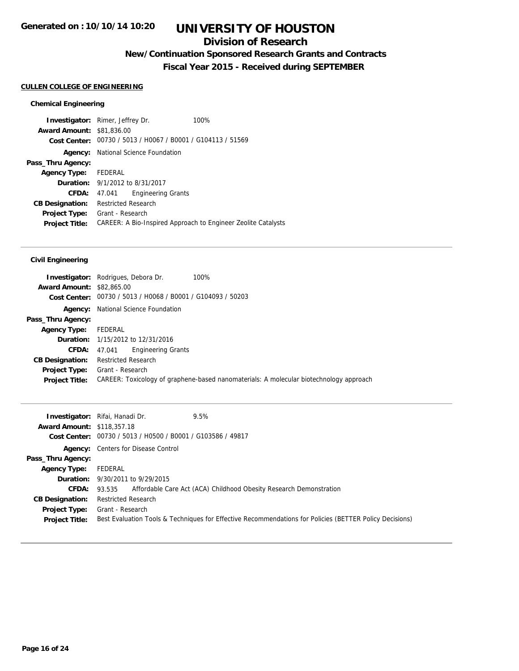## **Division of Research**

## **New/Continuation Sponsored Research Grants and Contracts**

**Fiscal Year 2015 - Received during SEPTEMBER**

### **CULLEN COLLEGE OF ENGINEERING**

### **Chemical Engineering**

|                                  | <b>Investigator:</b> Rimer, Jeffrey Dr.                     | 100%                                                          |
|----------------------------------|-------------------------------------------------------------|---------------------------------------------------------------|
| <b>Award Amount: \$81,836,00</b> |                                                             |                                                               |
|                                  | Cost Center: 00730 / 5013 / H0067 / B0001 / G104113 / 51569 |                                                               |
| Agency:                          | National Science Foundation                                 |                                                               |
| Pass_Thru Agency:                |                                                             |                                                               |
| <b>Agency Type:</b>              | FEDERAL                                                     |                                                               |
|                                  | <b>Duration:</b> 9/1/2012 to 8/31/2017                      |                                                               |
| <b>CFDA:</b>                     | <b>Engineering Grants</b><br>47.041                         |                                                               |
| <b>CB Designation:</b>           | Restricted Research                                         |                                                               |
| <b>Project Type:</b>             | Grant - Research                                            |                                                               |
| <b>Project Title:</b>            |                                                             | CAREER: A Bio-Inspired Approach to Engineer Zeolite Catalysts |

### **Civil Engineering**

| <b>Award Amount: \$82,865,00</b>              | <b>Investigator:</b> Rodrigues, Debora Dr.<br>100%<br>Cost Center: 00730 / 5013 / H0068 / B0001 / G104093 / 50203 |
|-----------------------------------------------|-------------------------------------------------------------------------------------------------------------------|
|                                               | <b>Agency:</b> National Science Foundation                                                                        |
| Pass_Thru Agency:                             |                                                                                                                   |
| <b>Agency Type:</b>                           | FEDERAL                                                                                                           |
|                                               | <b>Duration:</b> 1/15/2012 to 12/31/2016                                                                          |
| CFDA:                                         | Engineering Grants<br>47.041                                                                                      |
| <b>CB Designation:</b>                        | <b>Restricted Research</b>                                                                                        |
| <b>Project Type:</b><br><b>Project Title:</b> | Grant - Research<br>CAREER: Toxicology of graphene-based nanomaterials: A molecular biotechnology approach        |

| <b>Award Amount: \$118,357.18</b> | <b>Investigator:</b> Rifai, Hanadi Dr.<br>9.5%<br>Cost Center: 00730 / 5013 / H0500 / B0001 / G103586 / 49817 |
|-----------------------------------|---------------------------------------------------------------------------------------------------------------|
|                                   | <b>Agency:</b> Centers for Disease Control                                                                    |
| Pass_Thru Agency:                 |                                                                                                               |
| <b>Agency Type:</b> FEDERAL       |                                                                                                               |
|                                   | <b>Duration:</b> 9/30/2011 to 9/29/2015                                                                       |
| CFDA:                             | 93.535 Affordable Care Act (ACA) Childhood Obesity Research Demonstration                                     |
| <b>CB Designation:</b>            | <b>Restricted Research</b>                                                                                    |
| <b>Project Type:</b>              | Grant - Research                                                                                              |
| <b>Project Title:</b>             | Best Evaluation Tools & Techniques for Effective Recommendations for Policies (BETTER Policy Decisions)       |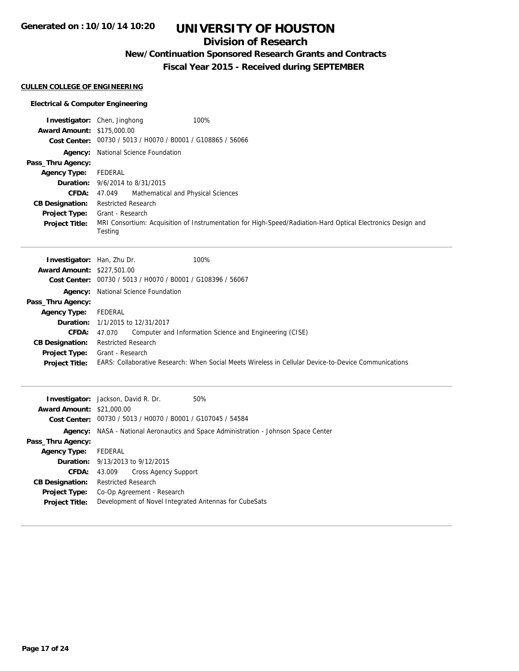## **Division of Research**

## **New/Continuation Sponsored Research Grants and Contracts**

**Fiscal Year 2015 - Received during SEPTEMBER**

#### **CULLEN COLLEGE OF ENGINEERING**

#### **Electrical & Computer Engineering**

| <b>Award Amount: \$175,000.00</b>                                                                                                              | Investigator: Chen, Jinghong<br>Cost Center: 00730 / 5013 / H0070 / B0001 / G108865 / 56066                                                                                                                  | 100%                                                                                                                                                            |
|------------------------------------------------------------------------------------------------------------------------------------------------|--------------------------------------------------------------------------------------------------------------------------------------------------------------------------------------------------------------|-----------------------------------------------------------------------------------------------------------------------------------------------------------------|
| Pass_Thru Agency:<br><b>Agency Type:</b><br><b>CFDA:</b><br><b>CB Designation:</b><br>Project Type:<br><b>Project Title:</b>                   | Agency: National Science Foundation<br><b>FEDERAL</b><br><b>Duration:</b> 9/6/2014 to 8/31/2015<br>47.049<br>Mathematical and Physical Sciences<br><b>Restricted Research</b><br>Grant - Research<br>Testing | MRI Consortium: Acquisition of Instrumentation for High-Speed/Radiation-Hard Optical Electronics Design and                                                     |
| Investigator: Han, Zhu Dr.<br><b>Award Amount: \$227,501.00</b>                                                                                | Cost Center: 00730 / 5013 / H0070 / B0001 / G108396 / 56067                                                                                                                                                  | 100%                                                                                                                                                            |
| Agency:<br>Pass_Thru Agency:<br><b>Agency Type:</b><br><b>CFDA:</b><br><b>CB Designation:</b><br><b>Project Type:</b><br><b>Project Title:</b> | National Science Foundation<br><b>FEDERAL</b><br><b>Duration:</b> 1/1/2015 to 12/31/2017<br>47.070<br><b>Restricted Research</b><br>Grant - Research                                                         | Computer and Information Science and Engineering (CISE)<br>EARS: Collaborative Research: When Social Meets Wireless in Cellular Device-to-Device Communications |
| <b>Award Amount: \$21,000.00</b>                                                                                                               | Investigator: Jackson, David R. Dr.<br>Cost Center: 00730 / 5013 / H0070 / B0001 / G107045 / 54584                                                                                                           | 50%<br>Agency: NASA - National Aeronautics and Space Administration - Johnson Space Center                                                                      |

**Pass\_Thru Agency:**

**Agency Type:** FEDERAL

**CB Designation:** Restricted Research

**Duration:** 9/13/2013 to 9/12/2015

**Project Type:** Co-Op Agreement - Research

**CFDA:** 43.009 Cross Agency Support

**Project Title:** Development of Novel Integrated Antennas for CubeSats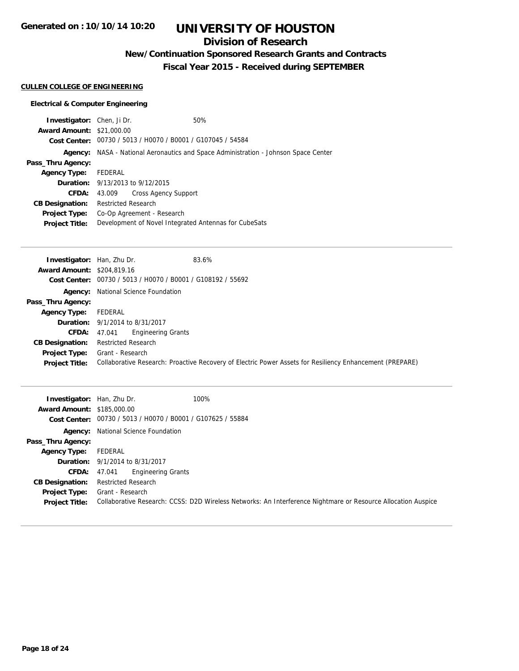## **Division of Research**

**New/Continuation Sponsored Research Grants and Contracts**

**Fiscal Year 2015 - Received during SEPTEMBER**

## **CULLEN COLLEGE OF ENGINEERING**

### **Electrical & Computer Engineering**

| <b>Investigator:</b> Chen, Ji Dr. |                                                                             |                                                             | 50%                                                   |
|-----------------------------------|-----------------------------------------------------------------------------|-------------------------------------------------------------|-------------------------------------------------------|
| <b>Award Amount: \$21,000.00</b>  |                                                                             |                                                             |                                                       |
|                                   |                                                                             | Cost Center: 00730 / 5013 / H0070 / B0001 / G107045 / 54584 |                                                       |
| Agency:                           | NASA - National Aeronautics and Space Administration - Johnson Space Center |                                                             |                                                       |
| Pass_Thru Agency:                 |                                                                             |                                                             |                                                       |
| <b>Agency Type:</b>               | FEDERAL                                                                     |                                                             |                                                       |
|                                   |                                                                             | <b>Duration:</b> 9/13/2013 to 9/12/2015                     |                                                       |
| <b>CFDA:</b>                      | 43.009                                                                      | Cross Agency Support                                        |                                                       |
| <b>CB Designation:</b>            | <b>Restricted Research</b>                                                  |                                                             |                                                       |
| <b>Project Type:</b>              | Co-Op Agreement - Research                                                  |                                                             |                                                       |
| <b>Project Title:</b>             |                                                                             |                                                             | Development of Novel Integrated Antennas for CubeSats |
|                                   |                                                                             |                                                             |                                                       |

| <b>Investigator:</b> Han, Zhu Dr. | 83.6%                                                                                                    |
|-----------------------------------|----------------------------------------------------------------------------------------------------------|
| <b>Award Amount: \$204,819.16</b> |                                                                                                          |
|                                   | Cost Center: 00730 / 5013 / H0070 / B0001 / G108192 / 55692                                              |
|                                   | <b>Agency:</b> National Science Foundation                                                               |
| Pass_Thru Agency:                 |                                                                                                          |
| <b>Agency Type:</b>               | FEDERAL                                                                                                  |
|                                   | <b>Duration:</b> 9/1/2014 to 8/31/2017                                                                   |
| <b>CFDA:</b> $47.041$             | <b>Engineering Grants</b>                                                                                |
| <b>CB Designation:</b>            | <b>Restricted Research</b>                                                                               |
| <b>Project Type:</b>              | Grant - Research                                                                                         |
| <b>Project Title:</b>             | Collaborative Research: Proactive Recovery of Electric Power Assets for Resiliency Enhancement (PREPARE) |

| <b>Investigator:</b> Han, Zhu Dr.<br><b>Award Amount: \$185,000.00</b> | Cost Center: 00730 / 5013 / H0070 / B0001 / G107625 / 55884 | 100%                                                                                                          |
|------------------------------------------------------------------------|-------------------------------------------------------------|---------------------------------------------------------------------------------------------------------------|
|                                                                        | <b>Agency:</b> National Science Foundation                  |                                                                                                               |
| Pass_Thru Agency:                                                      |                                                             |                                                                                                               |
| <b>Agency Type:</b>                                                    | FEDERAL                                                     |                                                                                                               |
|                                                                        | <b>Duration:</b> 9/1/2014 to 8/31/2017                      |                                                                                                               |
|                                                                        | Engineering Grants<br><b>CFDA:</b> $47.041$                 |                                                                                                               |
| <b>CB Designation:</b>                                                 | <b>Restricted Research</b>                                  |                                                                                                               |
| <b>Project Type:</b><br><b>Project Title:</b>                          | Grant - Research                                            | Collaborative Research: CCSS: D2D Wireless Networks: An Interference Nightmare or Resource Allocation Auspice |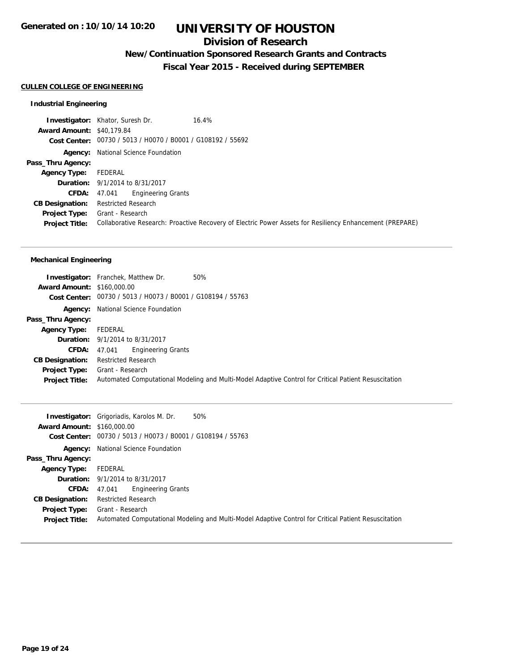## **Division of Research**

## **New/Continuation Sponsored Research Grants and Contracts**

**Fiscal Year 2015 - Received during SEPTEMBER**

#### **CULLEN COLLEGE OF ENGINEERING**

#### **Industrial Engineering**

**Investigator:** Khator, Suresh Dr. 16.4% **Award Amount:** \$40,179.84 **Cost Center:** 00730 / 5013 / H0070 / B0001 / G108192 / 55692 **Agency:** National Science Foundation **Pass\_Thru Agency: Agency Type:** FEDERAL **Duration:** 9/1/2014 to 8/31/2017 **CFDA:** 47.041 Engineering Grants **CB Designation:** Restricted Research **Project Type:** Grant - Research **Project Title:** Collaborative Research: Proactive Recovery of Electric Power Assets for Resiliency Enhancement (PREPARE)

#### **Mechanical Engineering**

|                                   | <b>Investigator:</b> Franchek, Matthew Dr.<br>50%                                                    |
|-----------------------------------|------------------------------------------------------------------------------------------------------|
| <b>Award Amount: \$160,000.00</b> |                                                                                                      |
|                                   | Cost Center: 00730 / 5013 / H0073 / B0001 / G108194 / 55763                                          |
| Agency:                           | National Science Foundation                                                                          |
| Pass_Thru Agency:                 |                                                                                                      |
| <b>Agency Type:</b>               | FEDERAL                                                                                              |
|                                   | <b>Duration:</b> 9/1/2014 to 8/31/2017                                                               |
| CFDA:                             | Engineering Grants<br>47.041                                                                         |
| <b>CB Designation:</b>            | <b>Restricted Research</b>                                                                           |
| <b>Project Type:</b>              | Grant - Research                                                                                     |
| <b>Project Title:</b>             | Automated Computational Modeling and Multi-Model Adaptive Control for Critical Patient Resuscitation |

|                                   | 50%<br><b>Investigator:</b> Grigoriadis, Karolos M. Dr.                                              |
|-----------------------------------|------------------------------------------------------------------------------------------------------|
| <b>Award Amount: \$160,000.00</b> |                                                                                                      |
|                                   | Cost Center: 00730 / 5013 / H0073 / B0001 / G108194 / 55763                                          |
|                                   | <b>Agency:</b> National Science Foundation                                                           |
| Pass_Thru Agency:                 |                                                                                                      |
| <b>Agency Type:</b>               | FEDERAL                                                                                              |
|                                   | <b>Duration:</b> 9/1/2014 to 8/31/2017                                                               |
| CFDA:                             | <b>Engineering Grants</b><br>47.041                                                                  |
| <b>CB Designation:</b>            | <b>Restricted Research</b>                                                                           |
| <b>Project Type:</b>              | Grant - Research                                                                                     |
| <b>Project Title:</b>             | Automated Computational Modeling and Multi-Model Adaptive Control for Critical Patient Resuscitation |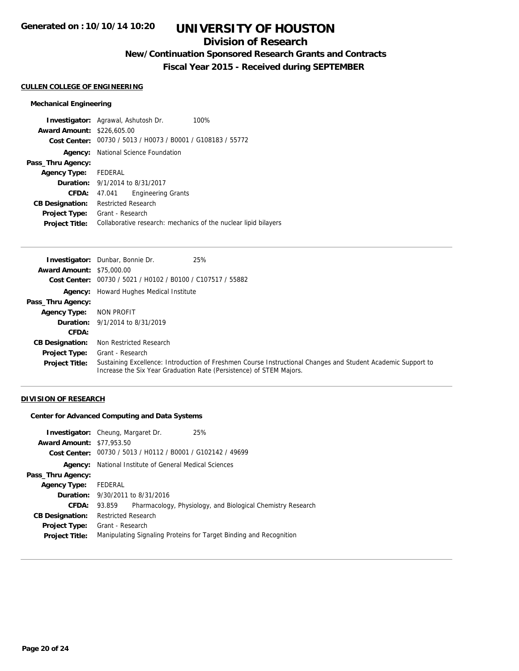## **Division of Research**

## **New/Continuation Sponsored Research Grants and Contracts**

**Fiscal Year 2015 - Received during SEPTEMBER**

#### **CULLEN COLLEGE OF ENGINEERING**

### **Mechanical Engineering**

|                                   | <b>Investigator:</b> Agrawal, Ashutosh Dr.                      | 100% |
|-----------------------------------|-----------------------------------------------------------------|------|
| <b>Award Amount: \$226,605.00</b> |                                                                 |      |
|                                   | Cost Center: 00730 / 5013 / H0073 / B0001 / G108183 / 55772     |      |
|                                   | <b>Agency:</b> National Science Foundation                      |      |
| Pass_Thru Agency:                 |                                                                 |      |
| <b>Agency Type:</b>               | FEDERAL                                                         |      |
|                                   | <b>Duration:</b> 9/1/2014 to 8/31/2017                          |      |
| <b>CFDA:</b>                      | <b>Engineering Grants</b><br>47.041                             |      |
| <b>CB Designation:</b>            | <b>Restricted Research</b>                                      |      |
| <b>Project Type:</b>              | Grant - Research                                                |      |
| <b>Project Title:</b>             | Collaborative research: mechanics of the nuclear lipid bilayers |      |

|                                  | <b>Investigator:</b> Dunbar, Bonnie Dr.<br>25%                                                                                                                                      |
|----------------------------------|-------------------------------------------------------------------------------------------------------------------------------------------------------------------------------------|
| <b>Award Amount: \$75,000.00</b> |                                                                                                                                                                                     |
| Cost Center:                     | 00730 / 5021 / H0102 / B0100 / C107517 / 55882                                                                                                                                      |
|                                  | <b>Agency:</b> Howard Hughes Medical Institute                                                                                                                                      |
| Pass_Thru Agency:                |                                                                                                                                                                                     |
| <b>Agency Type:</b>              | NON PROFIT                                                                                                                                                                          |
|                                  | <b>Duration:</b> 9/1/2014 to 8/31/2019                                                                                                                                              |
| CFDA:                            |                                                                                                                                                                                     |
| <b>CB Designation:</b>           | Non Restricted Research                                                                                                                                                             |
| <b>Project Type:</b>             | Grant - Research                                                                                                                                                                    |
| <b>Project Title:</b>            | Sustaining Excellence: Introduction of Freshmen Course Instructional Changes and Student Academic Support to<br>Increase the Six Year Graduation Rate (Persistence) of STEM Majors. |

## **DIVISION OF RESEARCH**

**Center for Advanced Computing and Data Systems**

| <b>Award Amount: \$77,953.50</b>              | <b>Investigator:</b> Cheung, Margaret Dr.<br>Cost Center: 00730 / 5013 / H0112 / B0001 / G102142 / 49699 | 25%                                                                |
|-----------------------------------------------|----------------------------------------------------------------------------------------------------------|--------------------------------------------------------------------|
| Agency:                                       | National Institute of General Medical Sciences                                                           |                                                                    |
| Pass_Thru Agency:                             |                                                                                                          |                                                                    |
| <b>Agency Type:</b>                           | FEDERAL                                                                                                  |                                                                    |
|                                               | <b>Duration:</b> 9/30/2011 to 8/31/2016                                                                  |                                                                    |
| CFDA:                                         | 93.859                                                                                                   | Pharmacology, Physiology, and Biological Chemistry Research        |
| <b>CB Designation:</b>                        | <b>Restricted Research</b>                                                                               |                                                                    |
| <b>Project Type:</b><br><b>Project Title:</b> | Grant - Research                                                                                         | Manipulating Signaling Proteins for Target Binding and Recognition |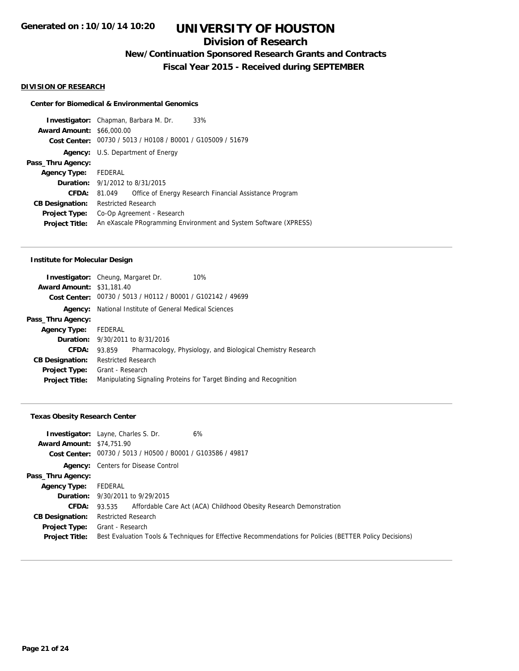## **Division of Research**

**New/Continuation Sponsored Research Grants and Contracts**

**Fiscal Year 2015 - Received during SEPTEMBER**

#### **DIVISION OF RESEARCH**

#### **Center for Biomedical & Environmental Genomics**

|                                  | <b>Investigator:</b> Chapman, Barbara M. Dr.<br>33%              |  |  |
|----------------------------------|------------------------------------------------------------------|--|--|
| <b>Award Amount: \$66,000.00</b> |                                                                  |  |  |
|                                  | Cost Center: 00730 / 5013 / H0108 / B0001 / G105009 / 51679      |  |  |
|                                  | <b>Agency:</b> U.S. Department of Energy                         |  |  |
| Pass_Thru Agency:                |                                                                  |  |  |
| <b>Agency Type:</b>              | FEDERAL                                                          |  |  |
|                                  | <b>Duration:</b> 9/1/2012 to 8/31/2015                           |  |  |
| CFDA:                            | Office of Energy Research Financial Assistance Program<br>81.049 |  |  |
| <b>CB Designation:</b>           | <b>Restricted Research</b>                                       |  |  |
| Project Type:                    | Co-Op Agreement - Research                                       |  |  |
| <b>Project Title:</b>            | An eXascale PRogramming Environment and System Software (XPRESS) |  |  |
|                                  |                                                                  |  |  |

#### **Institute for Molecular Design**

|                                  | <b>Investigator:</b> Cheung, Margaret Dr.                   | 10%                                                                |  |
|----------------------------------|-------------------------------------------------------------|--------------------------------------------------------------------|--|
| <b>Award Amount: \$31,181.40</b> |                                                             |                                                                    |  |
|                                  | Cost Center: 00730 / 5013 / H0112 / B0001 / G102142 / 49699 |                                                                    |  |
| Agency:                          | National Institute of General Medical Sciences              |                                                                    |  |
| Pass_Thru Agency:                |                                                             |                                                                    |  |
| <b>Agency Type:</b>              | FEDERAL                                                     |                                                                    |  |
|                                  | <b>Duration:</b> 9/30/2011 to 8/31/2016                     |                                                                    |  |
| <b>CFDA:</b>                     | 93.859                                                      | Pharmacology, Physiology, and Biological Chemistry Research        |  |
| <b>CB Designation:</b>           | <b>Restricted Research</b>                                  |                                                                    |  |
| <b>Project Type:</b>             | Grant - Research                                            |                                                                    |  |
| <b>Project Title:</b>            |                                                             | Manipulating Signaling Proteins for Target Binding and Recognition |  |
|                                  |                                                             |                                                                    |  |

#### **Texas Obesity Research Center**

| <b>Award Amount: \$74,751.90</b> | 6%<br><b>Investigator:</b> Layne, Charles S. Dr.<br>Cost Center: 00730 / 5013 / H0500 / B0001 / G103586 / 49817 |
|----------------------------------|-----------------------------------------------------------------------------------------------------------------|
|                                  | <b>Agency:</b> Centers for Disease Control                                                                      |
| Pass_Thru Agency:                |                                                                                                                 |
| <b>Agency Type:</b>              | FEDERAL                                                                                                         |
|                                  | <b>Duration:</b> 9/30/2011 to 9/29/2015                                                                         |
| <b>CFDA:</b>                     | 93.535 Affordable Care Act (ACA) Childhood Obesity Research Demonstration                                       |
| <b>CB Designation:</b>           | Restricted Research                                                                                             |
| <b>Project Type:</b>             | Grant - Research                                                                                                |
| <b>Project Title:</b>            | Best Evaluation Tools & Techniques for Effective Recommendations for Policies (BETTER Policy Decisions)         |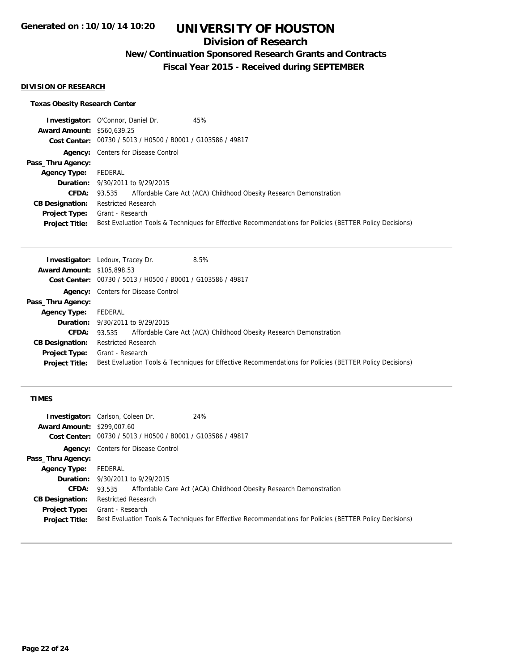## **Division of Research**

## **New/Continuation Sponsored Research Grants and Contracts**

**Fiscal Year 2015 - Received during SEPTEMBER**

### **DIVISION OF RESEARCH**

### **Texas Obesity Research Center**

|                                   | <b>Investigator: O'Connor, Daniel Dr.</b><br>45%                                                        |
|-----------------------------------|---------------------------------------------------------------------------------------------------------|
| <b>Award Amount: \$560,639.25</b> |                                                                                                         |
|                                   | Cost Center: 00730 / 5013 / H0500 / B0001 / G103586 / 49817                                             |
|                                   | <b>Agency:</b> Centers for Disease Control                                                              |
| Pass_Thru Agency:                 |                                                                                                         |
| Agency Type:                      | FEDERAL                                                                                                 |
|                                   | <b>Duration:</b> 9/30/2011 to 9/29/2015                                                                 |
|                                   | <b>CFDA:</b> 93.535 Affordable Care Act (ACA) Childhood Obesity Research Demonstration                  |
| <b>CB Designation:</b>            | Restricted Research                                                                                     |
| <b>Project Type:</b>              | Grant - Research                                                                                        |
| <b>Project Title:</b>             | Best Evaluation Tools & Techniques for Effective Recommendations for Policies (BETTER Policy Decisions) |

|                                   | <b>Investigator:</b> Ledoux, Tracey Dr.<br>8.5%                                                         |
|-----------------------------------|---------------------------------------------------------------------------------------------------------|
| <b>Award Amount: \$105,898.53</b> |                                                                                                         |
|                                   | Cost Center: 00730 / 5013 / H0500 / B0001 / G103586 / 49817                                             |
|                                   | <b>Agency:</b> Centers for Disease Control                                                              |
| Pass_Thru Agency:                 |                                                                                                         |
| <b>Agency Type:</b>               | FEDERAL                                                                                                 |
|                                   | <b>Duration:</b> 9/30/2011 to 9/29/2015                                                                 |
| <b>CFDA:</b>                      | Affordable Care Act (ACA) Childhood Obesity Research Demonstration<br>93.535                            |
| <b>CB Designation:</b>            | <b>Restricted Research</b>                                                                              |
| <b>Project Type:</b>              | Grant - Research                                                                                        |
| <b>Project Title:</b>             | Best Evaluation Tools & Techniques for Effective Recommendations for Policies (BETTER Policy Decisions) |

## **TIMES**

|                                   | 24%<br><b>Investigator:</b> Carlson, Coleen Dr.                                                         |
|-----------------------------------|---------------------------------------------------------------------------------------------------------|
| <b>Award Amount: \$299,007.60</b> |                                                                                                         |
|                                   | Cost Center: 00730 / 5013 / H0500 / B0001 / G103586 / 49817                                             |
|                                   | <b>Agency:</b> Centers for Disease Control                                                              |
| Pass_Thru Agency:                 |                                                                                                         |
| <b>Agency Type:</b>               | FEDERAL                                                                                                 |
|                                   | <b>Duration:</b> 9/30/2011 to 9/29/2015                                                                 |
| <b>CFDA:</b>                      | Affordable Care Act (ACA) Childhood Obesity Research Demonstration<br>93.535                            |
| <b>CB Designation:</b>            | <b>Restricted Research</b>                                                                              |
| <b>Project Type:</b>              | Grant - Research                                                                                        |
| <b>Project Title:</b>             | Best Evaluation Tools & Techniques for Effective Recommendations for Policies (BETTER Policy Decisions) |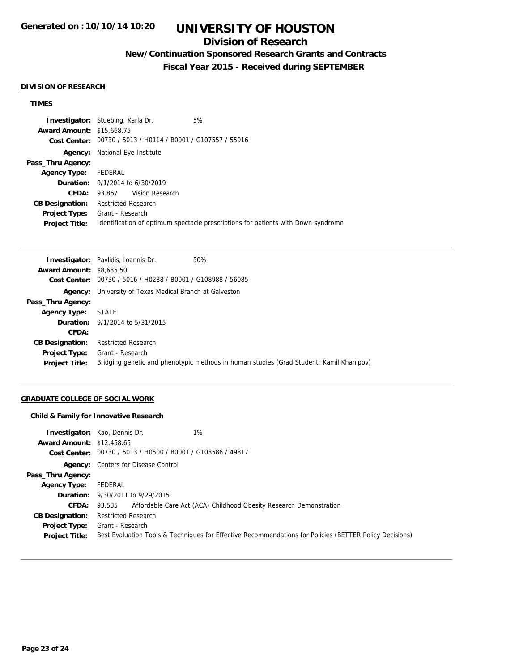## **Division of Research**

## **New/Continuation Sponsored Research Grants and Contracts**

**Fiscal Year 2015 - Received during SEPTEMBER**

#### **DIVISION OF RESEARCH**

### **TIMES**

|                                  | <b>Investigator:</b> Stuebing, Karla Dr.       | 5%                                                                                |
|----------------------------------|------------------------------------------------|-----------------------------------------------------------------------------------|
| <b>Award Amount: \$15,668.75</b> |                                                |                                                                                   |
| Cost Center:                     | 00730 / 5013 / H0114 / B0001 / G107557 / 55916 |                                                                                   |
| Agency:                          | National Eye Institute                         |                                                                                   |
| Pass_Thru Agency:                |                                                |                                                                                   |
| <b>Agency Type:</b>              | FEDERAL                                        |                                                                                   |
|                                  | <b>Duration:</b> $9/1/2014$ to $6/30/2019$     |                                                                                   |
| CFDA:                            | 93.867 Vision Research                         |                                                                                   |
| <b>CB Designation:</b>           | Restricted Research                            |                                                                                   |
| Project Type:                    | Grant - Research                               |                                                                                   |
| <b>Project Title:</b>            |                                                | Identification of optimum spectacle prescriptions for patients with Down syndrome |

|                                 | <b>Investigator:</b> Pavlidis, Ioannis Dr.                     | 50%                                                                                     |
|---------------------------------|----------------------------------------------------------------|-----------------------------------------------------------------------------------------|
| <b>Award Amount: \$8,635.50</b> |                                                                |                                                                                         |
|                                 | Cost Center: 00730 / 5016 / H0288 / B0001 / G108988 / 56085    |                                                                                         |
|                                 | <b>Agency:</b> University of Texas Medical Branch at Galveston |                                                                                         |
| Pass_Thru Agency:               |                                                                |                                                                                         |
| Agency Type: STATE              |                                                                |                                                                                         |
|                                 | <b>Duration:</b> 9/1/2014 to 5/31/2015                         |                                                                                         |
| CFDA:                           |                                                                |                                                                                         |
| <b>CB Designation:</b>          | <b>Restricted Research</b>                                     |                                                                                         |
| Project Type:                   | Grant - Research                                               |                                                                                         |
| <b>Project Title:</b>           |                                                                | Bridging genetic and phenotypic methods in human studies (Grad Student: Kamil Khanipov) |
|                                 |                                                                |                                                                                         |

### **GRADUATE COLLEGE OF SOCIAL WORK**

#### **Child & Family for Innovative Research**

| <b>Award Amount: \$12,458.65</b> | $1\%$<br><b>Investigator:</b> Kao, Dennis Dr.<br>Cost Center: 00730 / 5013 / H0500 / B0001 / G103586 / 49817 |
|----------------------------------|--------------------------------------------------------------------------------------------------------------|
|                                  | <b>Agency:</b> Centers for Disease Control                                                                   |
| Pass_Thru Agency:                |                                                                                                              |
| <b>Agency Type:</b>              | FEDERAL                                                                                                      |
|                                  | <b>Duration:</b> 9/30/2011 to 9/29/2015                                                                      |
|                                  | <b>CFDA:</b> 93.535 Affordable Care Act (ACA) Childhood Obesity Research Demonstration                       |
| <b>CB Designation:</b>           | <b>Restricted Research</b>                                                                                   |
| <b>Project Type:</b>             | Grant - Research                                                                                             |
| <b>Project Title:</b>            | Best Evaluation Tools & Techniques for Effective Recommendations for Policies (BETTER Policy Decisions)      |